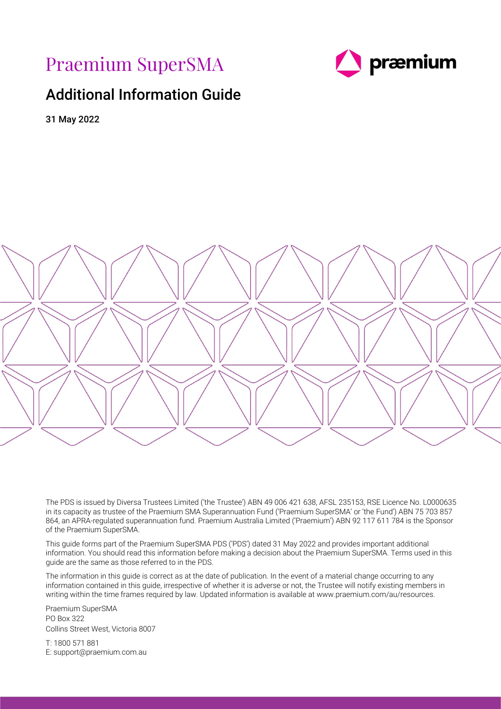Praemium SuperSMA



# <span id="page-0-0"></span>Additional Information Guide

31 May 2022



The PDS is issued by Diversa Trustees Limited ('the Trustee') ABN 49 006 421 638, AFSL 235153, RSE Licence No. L0000635 in its capacity as trustee of the Praemium SMA Superannuation Fund ('Praemium SuperSMA' or 'the Fund') ABN 75 703 857 864, an APRA-regulated superannuation fund. Praemium Australia Limited ('Praemium') ABN 92 117 611 784 is the Sponsor of the Praemium SuperSMA.

This guide forms part of the Praemium SuperSMA PDS ('PDS') dated 31 May 2022 and provides important additional information. You should read this information before making a decision about the Praemium SuperSMA. Terms used in this guide are the same as those referred to in the PDS.

The information in this guide is correct as at the date of publication. In the event of a material change occurring to any information contained in this guide, irrespective of whether it is adverse or not, the Trustee will notify existing members in writing within the time frames required by law. Updated information is available at www.praemium.com/au/resources.

Praemium SuperSMA PO Box 322 Collins Street West, Victoria 8007

T: 1800 571 881 E: support@praemium.com.au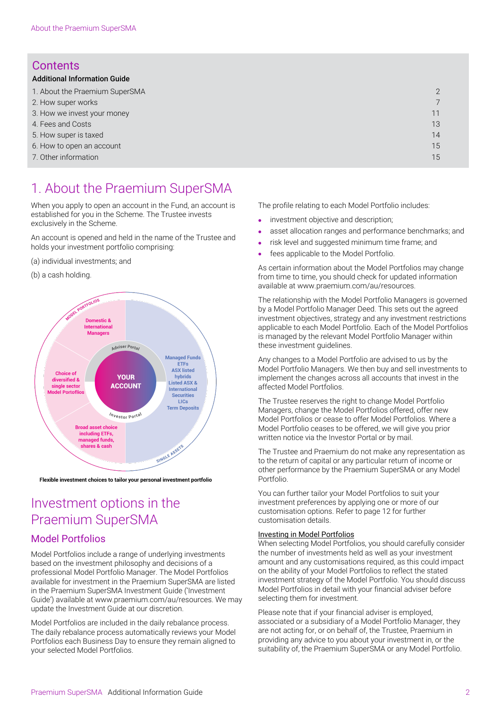# **Contents**

| <b>Additional Information Guide</b> |    |
|-------------------------------------|----|
| 1. About the Praemium SuperSMA      |    |
| 2. How super works                  |    |
| 3. How we invest your money         | 11 |
| 4. Fees and Costs                   | 13 |
| 5. How super is taxed               | 14 |
| 6. How to open an account           | 15 |
| 7. Other information                | 15 |

# <span id="page-1-0"></span>1. About the Praemium SuperSMA

When you apply to open an account in the Fund, an account is established for you in the Scheme. The Trustee invests exclusively in the Scheme.

An account is opened and held in the name of the Trustee and holds your investment portfolio comprising:

- (a) individual investments; and
- (b) a cash holding.



Flexible investment choices to tailor your personal investment portfolio

# Investment options in the Praemium SuperSMA

# Model Portfolios

Model Portfolios include a range of underlying investments based on the investment philosophy and decisions of a professional Model Portfolio Manager. The Model Portfolios available for investment in the Praemium SuperSMA are listed in the Praemium SuperSMA Investment Guide ('Investment Guide') available at www.praemium.com/au/resources. We may update the Investment Guide at our discretion.

Model Portfolios are included in the daily rebalance process. The daily rebalance process automatically reviews your Model Portfolios each Business Day to ensure they remain aligned to your selected Model Portfolios.

The profile relating to each Model Portfolio includes:

- investment objective and description:
- asset allocation ranges and performance benchmarks; and
- risk level and suggested minimum time frame; and
- fees applicable to the Model Portfolio.

As certain information about the Model Portfolios may change from time to time, you should check for updated information available at www.praemium.com/au/resources.

The relationship with the Model Portfolio Managers is governed by a Model Portfolio Manager Deed. This sets out the agreed investment objectives, strategy and any investment restrictions applicable to each Model Portfolio. Each of the Model Portfolios is managed by the relevant Model Portfolio Manager within these investment guidelines.

Any changes to a Model Portfolio are advised to us by the Model Portfolio Managers. We then buy and sell investments to implement the changes across all accounts that invest in the affected Model Portfolios.

The Trustee reserves the right to change Model Portfolio Managers, change the Model Portfolios offered, offer new Model Portfolios or cease to offer Model Portfolios. Where a Model Portfolio ceases to be offered, we will give you prior written notice via the Investor Portal or by mail.

The Trustee and Praemium do not make any representation as to the return of capital or any particular return of income or other performance by the Praemium SuperSMA or any Model Portfolio.

You can further tailor your Model Portfolios to suit your investment preferences by applying one or more of our customisation options. Refer to page 12 for further customisation details.

## Investing in Model Portfolios

When selecting Model Portfolios, you should carefully consider the number of investments held as well as your investment amount and any customisations required, as this could impact on the ability of your Model Portfolios to reflect the stated investment strategy of the Model Portfolio. You should discuss Model Portfolios in detail with your financial adviser before selecting them for investment.

Please note that if your financial adviser is employed, associated or a subsidiary of a Model Portfolio Manager, they are not acting for, or on behalf of, the Trustee, Praemium in providing any advice to you about your investment in, or the suitability of, the Praemium SuperSMA or any Model Portfolio.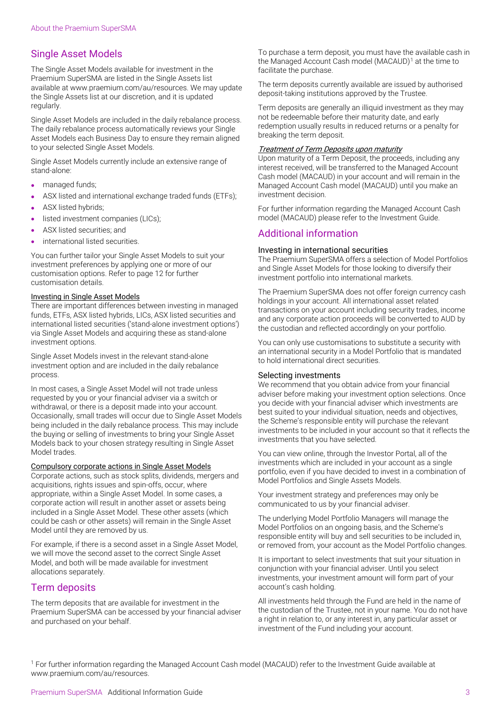## Single Asset Models

The Single Asset Models available for investment in the Praemium SuperSMA are listed in the Single Assets list available at www.praemium.com/au/resources. We may update the Single Assets list at our discretion, and it is updated regularly.

Single Asset Models are included in the daily rebalance process. The daily rebalance process automatically reviews your Single Asset Models each Business Day to ensure they remain aligned to your selected Single Asset Models.

Single Asset Models currently include an extensive range of stand-alone:

- managed funds;
- ASX listed and international exchange traded funds (ETFs);
- ASX listed hybrids;
- listed investment companies (LICs);
- ASX listed securities; and
- international listed securities.

You can further tailor your Single Asset Models to suit your investment preferences by applying one or more of our customisation options. Refer to page 12 for further customisation details.

### Investing in Single Asset Models

There are important differences between investing in managed funds, ETFs, ASX listed hybrids, LICs, ASX listed securities and international listed securities ('stand-alone investment options') via Single Asset Models and acquiring these as stand-alone investment options.

Single Asset Models invest in the relevant stand-alone investment option and are included in the daily rebalance process.

In most cases, a Single Asset Model will not trade unless requested by you or your financial adviser via a switch or withdrawal, or there is a deposit made into your account. Occasionally, small trades will occur due to Single Asset Models being included in the daily rebalance process. This may include the buying or selling of investments to bring your Single Asset Models back to your chosen strategy resulting in Single Asset Model trades.

### Compulsory corporate actions in Single Asset Models

Corporate actions, such as stock splits, dividends, mergers and acquisitions, rights issues and spin-offs, occur, where appropriate, within a Single Asset Model. In some cases, a corporate action will result in another asset or assets being included in a Single Asset Model. These other assets (which could be cash or other assets) will remain in the Single Asset Model until they are removed by us.

For example, if there is a second asset in a Single Asset Model, we will move the second asset to the correct Single Asset Model, and both will be made available for investment allocations separately.

## Term deposits

The term deposits that are available for investment in the Praemium SuperSMA can be accessed by your financial adviser and purchased on your behalf.

To purchase a term deposit, you must have the available cash in the Managed Account Cash model (MACAUD)[1](#page-2-0) at the time to facilitate the purchase.

The term deposits currently available are issued by authorised deposit-taking institutions approved by the Trustee.

Term deposits are generally an illiquid investment as they may not be redeemable before their maturity date, and early redemption usually results in reduced returns or a penalty for breaking the term deposit.

#### **Treatment of Term Deposits upon maturity**

Upon maturity of a Term Deposit, the proceeds, including any interest received, will be transferred to the Managed Account Cash model (MACAUD) in your account and will remain in the Managed Account Cash model (MACAUD) until you make an investment decision.

For further information regarding the Managed Account Cash model (MACAUD) please refer to the Investment Guide.

## Additional information

#### Investing in international securities

The Praemium SuperSMA offers a selection of Model Portfolios and Single Asset Models for those looking to diversify their investment portfolio into international markets.

The Praemium SuperSMA does not offer foreign currency cash holdings in your account. All international asset related transactions on your account including security trades, income and any corporate action proceeds will be converted to AUD by the custodian and reflected accordingly on your portfolio.

You can only use customisations to substitute a security with an international security in a Model Portfolio that is mandated to hold international direct securities.

#### Selecting investments

We recommend that you obtain advice from your financial adviser before making your investment option selections. Once you decide with your financial adviser which investments are best suited to your individual situation, needs and objectives, the Scheme's responsible entity will purchase the relevant investments to be included in your account so that it reflects the investments that you have selected.

You can view online, through the Investor Portal, all of the investments which are included in your account as a single portfolio, even if you have decided to invest in a combination of Model Portfolios and Single Assets Models.

Your investment strategy and preferences may only be communicated to us by your financial adviser.

The underlying Model Portfolio Managers will manage the Model Portfolios on an ongoing basis, and the Scheme's responsible entity will buy and sell securities to be included in, or removed from, your account as the Model Portfolio changes.

It is important to select investments that suit your situation in conjunction with your financial adviser. Until you select investments, your investment amount will form part of your account's cash holding.

All investments held through the Fund are held in the name of the custodian of the Trustee, not in your name. You do not have a right in relation to, or any interest in, any particular asset or investment of the Fund including your account.

<span id="page-2-0"></span><sup>1</sup> For further information regarding the Managed Account Cash model (MACAUD) refer to the Investment Guide available at www.praemium.com/au/resources.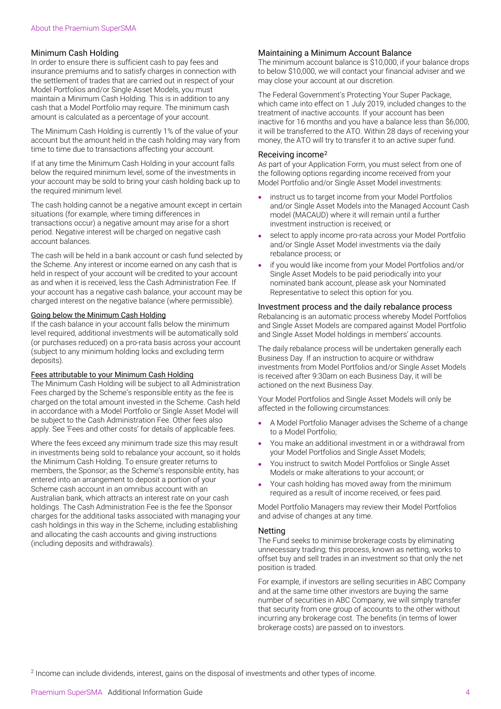## Minimum Cash Holding

In order to ensure there is sufficient cash to pay fees and insurance premiums and to satisfy charges in connection with the settlement of trades that are carried out in respect of your Model Portfolios and/or Single Asset Models, you must maintain a Minimum Cash Holding. This is in addition to any cash that a Model Portfolio may require. The minimum cash amount is calculated as a percentage of your account.

The Minimum Cash Holding is currently 1% of the value of your account but the amount held in the cash holding may vary from time to time due to transactions affecting your account.

If at any time the Minimum Cash Holding in your account falls below the required minimum level, some of the investments in your account may be sold to bring your cash holding back up to the required minimum level.

The cash holding cannot be a negative amount except in certain situations (for example, where timing differences in transactions occur) a negative amount may arise for a short period. Negative interest will be charged on negative cash account balances.

The cash will be held in a bank account or cash fund selected by the Scheme. Any interest or income earned on any cash that is held in respect of your account will be credited to your account as and when it is received, less the Cash Administration Fee. If your account has a negative cash balance, your account may be charged interest on the negative balance (where permissible).

## Going below the Minimum Cash Holding

If the cash balance in your account falls below the minimum level required, additional investments will be automatically sold (or purchases reduced) on a pro-rata basis across your account (subject to any minimum holding locks and excluding term deposits).

#### Fees attributable to your Minimum Cash Holding

The Minimum Cash Holding will be subject to all Administration Fees charged by the Scheme's responsible entity as the fee is charged on the total amount invested in the Scheme. Cash held in accordance with a Model Portfolio or Single Asset Model will be subject to the Cash Administration Fee. Other fees also apply. See 'Fees and other costs' for details of applicable fees.

Where the fees exceed any minimum trade size this may result in investments being sold to rebalance your account, so it holds the Minimum Cash Holding. To ensure greater returns to members, the Sponsor; as the Scheme's responsible entity, has entered into an arrangement to deposit a portion of your Scheme cash account in an omnibus account with an Australian bank, which attracts an interest rate on your cash holdings. The Cash Administration Fee is the fee the Sponsor charges for the additional tasks associated with managing your cash holdings in this way in the Scheme, including establishing and allocating the cash accounts and giving instructions (including deposits and withdrawals).

## Maintaining a Minimum Account Balance

The minimum account balance is \$10,000, if your balance drops to below \$10,000, we will contact your financial adviser and we may close your account at our discretion.

The Federal Government's Protecting Your Super Package, which came into effect on 1 July 2019, included changes to the treatment of inactive accounts. If your account has been inactive for 16 months and you have a balance less than \$6,000, it will be transferred to the ATO. Within 28 days of receiving your money, the ATO will try to transfer it to an active super fund.

### Receiving income[2](#page-3-0)

As part of your Application Form, you must select from one of the following options regarding income received from your Model Portfolio and/or Single Asset Model investments:

- instruct us to target income from your Model Portfolios and/or Single Asset Models into the Managed Account Cash model (MACAUD) where it will remain until a further investment instruction is received; or
- select to apply income pro-rata across your Model Portfolio and/or Single Asset Model investments via the daily rebalance process; or
- if you would like income from your Model Portfolios and/or Single Asset Models to be paid periodically into your nominated bank account, please ask your Nominated Representative to select this option for you.

### Investment process and the daily rebalance process

Rebalancing is an automatic process whereby Model Portfolios and Single Asset Models are compared against Model Portfolio and Single Asset Model holdings in members' accounts.

The daily rebalance process will be undertaken generally each Business Day. If an instruction to acquire or withdraw investments from Model Portfolios and/or Single Asset Models is received after 9:30am on each Business Day, it will be actioned on the next Business Day.

Your Model Portfolios and Single Asset Models will only be affected in the following circumstances:

- A Model Portfolio Manager advises the Scheme of a change to a Model Portfolio;
- You make an additional investment in or a withdrawal from your Model Portfolios and Single Asset Models;
- You instruct to switch Model Portfolios or Single Asset Models or make alterations to your account; or
- Your cash holding has moved away from the minimum required as a result of income received, or fees paid.

Model Portfolio Managers may review their Model Portfolios and advise of changes at any time.

#### **Netting**

The Fund seeks to minimise brokerage costs by eliminating unnecessary trading; this process, known as netting, works to offset buy and sell trades in an investment so that only the net position is traded.

For example, if investors are selling securities in ABC Company and at the same time other investors are buying the same number of securities in ABC Company, we will simply transfer that security from one group of accounts to the other without incurring any brokerage cost. The benefits (in terms of lower brokerage costs) are passed on to investors.

<span id="page-3-0"></span><sup>2</sup> Income can include dividends, interest, gains on the disposal of investments and other types of income.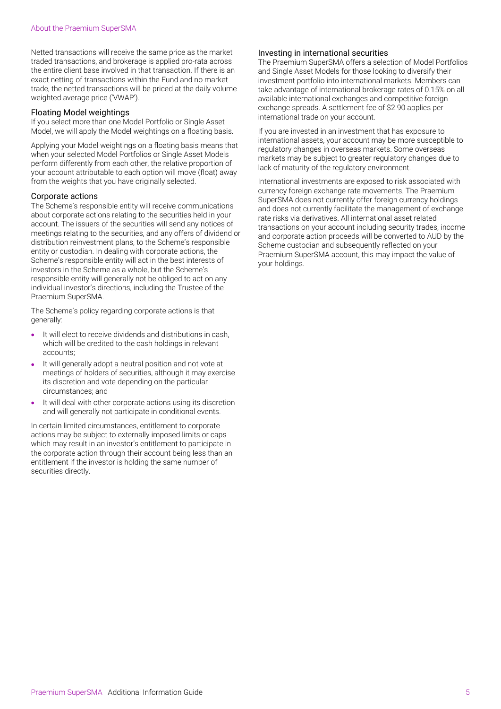Netted transactions will receive the same price as the market traded transactions, and brokerage is applied pro-rata across the entire client base involved in that transaction. If there is an exact netting of transactions within the Fund and no market trade, the netted transactions will be priced at the daily volume weighted average price ('VWAP').

## Floating Model weightings

If you select more than one Model Portfolio or Single Asset Model, we will apply the Model weightings on a floating basis.

Applying your Model weightings on a floating basis means that when your selected Model Portfolios or Single Asset Models perform differently from each other, the relative proportion of your account attributable to each option will move (float) away from the weights that you have originally selected.

## Corporate actions

The Scheme's responsible entity will receive communications about corporate actions relating to the securities held in your account. The issuers of the securities will send any notices of meetings relating to the securities, and any offers of dividend or distribution reinvestment plans, to the Scheme's responsible entity or custodian. In dealing with corporate actions, the Scheme's responsible entity will act in the best interests of investors in the Scheme as a whole, but the Scheme's responsible entity will generally not be obliged to act on any individual investor's directions, including the Trustee of the Praemium SuperSMA.

The Scheme's policy regarding corporate actions is that generally:

- It will elect to receive dividends and distributions in cash, which will be credited to the cash holdings in relevant accounts;
- It will generally adopt a neutral position and not vote at meetings of holders of securities, although it may exercise its discretion and vote depending on the particular circumstances; and
- It will deal with other corporate actions using its discretion and will generally not participate in conditional events.

In certain limited circumstances, entitlement to corporate actions may be subject to externally imposed limits or caps which may result in an investor's entitlement to participate in the corporate action through their account being less than an entitlement if the investor is holding the same number of securities directly.

## Investing in international securities

The Praemium SuperSMA offers a selection of Model Portfolios and Single Asset Models for those looking to diversify their investment portfolio into international markets. Members can take advantage of international brokerage rates of 0.15% on all available international exchanges and competitive foreign exchange spreads. A settlement fee of \$2.90 applies per international trade on your account.

If you are invested in an investment that has exposure to international assets, your account may be more susceptible to regulatory changes in overseas markets. Some overseas markets may be subject to greater regulatory changes due to lack of maturity of the regulatory environment.

International investments are exposed to risk associated with currency foreign exchange rate movements. The Praemium SuperSMA does not currently offer foreign currency holdings and does not currently facilitate the management of exchange rate risks via derivatives. All international asset related transactions on your account including security trades, income and corporate action proceeds will be converted to AUD by the Scheme custodian and subsequently reflected on your Praemium SuperSMA account, this may impact the value of your holdings.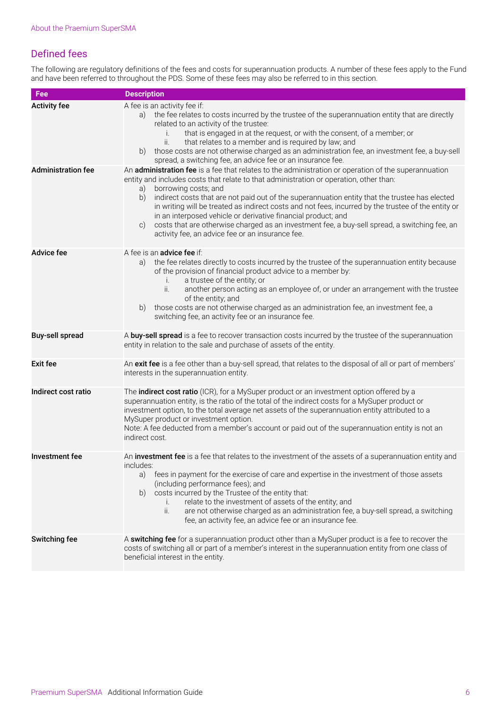# Defined fees

The following are regulatory definitions of the fees and costs for superannuation products. A number of these fees apply to the Fund and have been referred to throughout the PDS. Some of these fees may also be referred to in this section.

| Fee                       | <b>Description</b>                                                                                                                                                                                                                                                                                                                                                                                                                                                                                                                                                                                                                                                             |
|---------------------------|--------------------------------------------------------------------------------------------------------------------------------------------------------------------------------------------------------------------------------------------------------------------------------------------------------------------------------------------------------------------------------------------------------------------------------------------------------------------------------------------------------------------------------------------------------------------------------------------------------------------------------------------------------------------------------|
| <b>Activity fee</b>       | A fee is an activity fee if:<br>the fee relates to costs incurred by the trustee of the superannuation entity that are directly<br>a)<br>related to an activity of the trustee:<br>that is engaged in at the request, or with the consent, of a member; or<br>i.<br>ii.<br>that relates to a member and is required by law; and<br>those costs are not otherwise charged as an administration fee, an investment fee, a buy-sell<br>b)<br>spread, a switching fee, an advice fee or an insurance fee.                                                                                                                                                                          |
| <b>Administration fee</b> | An administration fee is a fee that relates to the administration or operation of the superannuation<br>entity and includes costs that relate to that administration or operation, other than:<br>borrowing costs; and<br>a)<br>b)<br>indirect costs that are not paid out of the superannuation entity that the trustee has elected<br>in writing will be treated as indirect costs and not fees, incurred by the trustee of the entity or<br>in an interposed vehicle or derivative financial product; and<br>costs that are otherwise charged as an investment fee, a buy-sell spread, a switching fee, an<br>$\circ$ )<br>activity fee, an advice fee or an insurance fee. |
| <b>Advice fee</b>         | A fee is an <b>advice fee</b> if:<br>the fee relates directly to costs incurred by the trustee of the superannuation entity because<br>a)<br>of the provision of financial product advice to a member by:<br>a trustee of the entity; or<br>i.<br>ii.<br>another person acting as an employee of, or under an arrangement with the trustee<br>of the entity; and<br>those costs are not otherwise charged as an administration fee, an investment fee, a<br>b)<br>switching fee, an activity fee or an insurance fee.                                                                                                                                                          |
| <b>Buy-sell spread</b>    | A buy-sell spread is a fee to recover transaction costs incurred by the trustee of the superannuation<br>entity in relation to the sale and purchase of assets of the entity.                                                                                                                                                                                                                                                                                                                                                                                                                                                                                                  |
| <b>Exit fee</b>           | An exit fee is a fee other than a buy-sell spread, that relates to the disposal of all or part of members'<br>interests in the superannuation entity.                                                                                                                                                                                                                                                                                                                                                                                                                                                                                                                          |
| Indirect cost ratio       | The indirect cost ratio (ICR), for a MySuper product or an investment option offered by a<br>superannuation entity, is the ratio of the total of the indirect costs for a MySuper product or<br>investment option, to the total average net assets of the superannuation entity attributed to a<br>MySuper product or investment option.<br>Note: A fee deducted from a member's account or paid out of the superannuation entity is not an<br>indirect cost.                                                                                                                                                                                                                  |
| <b>Investment</b> fee     | An investment fee is a fee that relates to the investment of the assets of a superannuation entity and<br>includes:<br>fees in payment for the exercise of care and expertise in the investment of those assets<br>a)<br>(including performance fees); and<br>costs incurred by the Trustee of the entity that:<br>b)<br>relate to the investment of assets of the entity; and<br>i.<br>ii.<br>are not otherwise charged as an administration fee, a buy-sell spread, a switching<br>fee, an activity fee, an advice fee or an insurance fee.                                                                                                                                  |
| Switching fee             | A switching fee for a superannuation product other than a MySuper product is a fee to recover the<br>costs of switching all or part of a member's interest in the superannuation entity from one class of<br>beneficial interest in the entity.                                                                                                                                                                                                                                                                                                                                                                                                                                |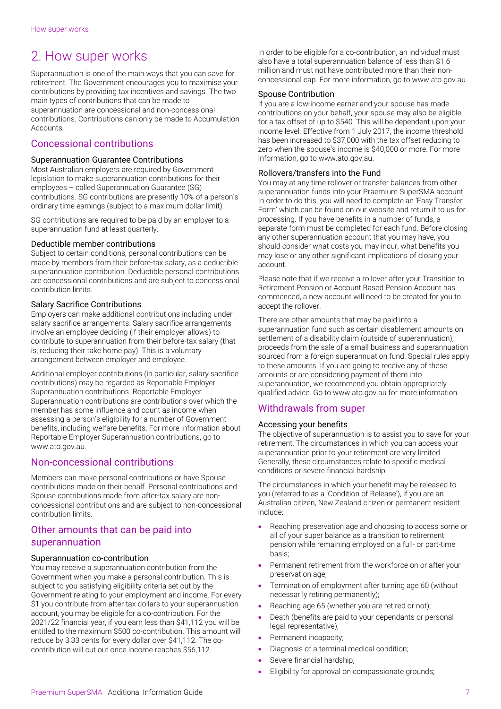# <span id="page-6-0"></span>2. How super works

Superannuation is one of the main ways that you can save for retirement. The Government encourages you to maximise your contributions by providing tax incentives and savings. The two main types of contributions that can be made to superannuation are concessional and non-concessional contributions. Contributions can only be made to Accumulation Accounts.

# Concessional contributions

## Superannuation Guarantee Contributions

Most Australian employers are required by Government legislation to make superannuation contributions for their employees – called Superannuation Guarantee (SG) contributions. SG contributions are presently 10% of a person's ordinary time earnings (subject to a maximum dollar limit).

SG contributions are required to be paid by an employer to a superannuation fund at least quarterly.

## Deductible member contributions

Subject to certain conditions, personal contributions can be made by members from their before-tax salary, as a deductible superannuation contribution. Deductible personal contributions are concessional contributions and are subject to concessional contribution limits.

## Salary Sacrifice Contributions

Employers can make additional contributions including under salary sacrifice arrangements. Salary sacrifice arrangements involve an employee deciding (if their employer allows) to contribute to superannuation from their before-tax salary (that is, reducing their take home pay). This is a voluntary arrangement between employer and employee.

Additional employer contributions (in particular, salary sacrifice contributions) may be regarded as Reportable Employer Superannuation contributions. Reportable Employer Superannuation contributions are contributions over which the member has some influence and count as income when assessing a person's eligibility for a number of Government benefits, including welfare benefits. For more information about Reportable Employer Superannuation contributions, go to www.ato.gov.au.

## Non-concessional contributions

Members can make personal contributions or have Spouse contributions made on their behalf. Personal contributions and Spouse contributions made from after-tax salary are nonconcessional contributions and are subject to non-concessional contribution limits.

## Other amounts that can be paid into superannuation

## Superannuation co-contribution

You may receive a superannuation contribution from the Government when you make a personal contribution. This is subject to you satisfying eligibility criteria set out by the Government relating to your employment and income. For every \$1 you contribute from after tax dollars to your superannuation account, you may be eligible for a co-contribution. For the 2021/22 financial year, if you earn less than \$41,112 you will be entitled to the maximum \$500 co-contribution. This amount will reduce by 3.33 cents for every dollar over \$41,112. The cocontribution will cut out once income reaches \$56,112.

In order to be eligible for a co-contribution, an individual must also have a total superannuation balance of less than \$1.6 million and must not have contributed more than their nonconcessional cap. For more information, go to www.ato.gov.au.

## Spouse Contribution

If you are a low-income earner and your spouse has made contributions on your behalf, your spouse may also be eligible for a tax offset of up to \$540. This will be dependent upon your income level. Effective from 1 July 2017, the income threshold has been increased to \$37,000 with the tax offset reducing to zero when the spouse's income is \$40,000 or more. For more information, go to www.ato.gov.au.

## Rollovers/transfers into the Fund

You may at any time rollover or transfer balances from other superannuation funds into your Praemium SuperSMA account. In order to do this, you will need to complete an 'Easy Transfer Form' which can be found on our website and return it to us for processing. If you have benefits in a number of funds, a separate form must be completed for each fund. Before closing any other superannuation account that you may have, you should consider what costs you may incur, what benefits you may lose or any other significant implications of closing your account.

Please note that if we receive a rollover after your Transition to Retirement Pension or Account Based Pension Account has commenced, a new account will need to be created for you to accept the rollover.

There are other amounts that may be paid into a superannuation fund such as certain disablement amounts on settlement of a disability claim (outside of superannuation), proceeds from the sale of a small business and superannuation sourced from a foreign superannuation fund. Special rules apply to these amounts. If you are going to receive any of these amounts or are considering payment of them into superannuation, we recommend you obtain appropriately qualified advice. Go to www.ato.gov.au for more information.

# Withdrawals from super

## Accessing your benefits

The objective of superannuation is to assist you to save for your retirement. The circumstances in which you can access your superannuation prior to your retirement are very limited. Generally, these circumstances relate to specific medical conditions or severe financial hardship.

The circumstances in which your benefit may be released to you (referred to as a 'Condition of Release'), if you are an Australian citizen, New Zealand citizen or permanent resident include:

- Reaching preservation age and choosing to access some or all of your super balance as a transition to retirement pension while remaining employed on a full- or part-time basis;
- Permanent retirement from the workforce on or after your preservation age;
- Termination of employment after turning age 60 (without necessarily retiring permanently);
- Reaching age 65 (whether you are retired or not);
- Death (benefits are paid to your dependants or personal legal representative);
- Permanent incapacity;
	- Diagnosis of a terminal medical condition;
- Severe financial hardship;
- Eligibility for approval on compassionate grounds;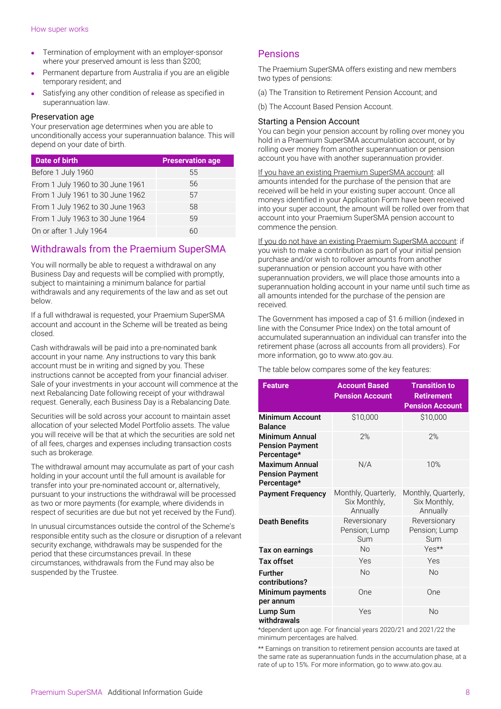- Termination of employment with an employer-sponsor where your preserved amount is less than \$200;
- Permanent departure from Australia if you are an eligible temporary resident; and
- Satisfying any other condition of release as specified in superannuation law.

## Preservation age

Your preservation age determines when you are able to unconditionally access your superannuation balance. This will depend on your date of birth.

| Date of birth                    | <b>Preservation age</b> |
|----------------------------------|-------------------------|
| Before 1 July 1960               | 55                      |
| From 1 July 1960 to 30 June 1961 | 56                      |
| From 1 July 1961 to 30 June 1962 | 57                      |
| From 1 July 1962 to 30 June 1963 | 58                      |
| From 1 July 1963 to 30 June 1964 | 59                      |
| On or after 1 July 1964          | 60                      |

# Withdrawals from the Praemium SuperSMA

You will normally be able to request a withdrawal on any Business Day and requests will be complied with promptly, subject to maintaining a minimum balance for partial withdrawals and any requirements of the law and as set out below.

If a full withdrawal is requested, your Praemium SuperSMA account and account in the Scheme will be treated as being closed.

Cash withdrawals will be paid into a pre-nominated bank account in your name. Any instructions to vary this bank account must be in writing and signed by you. These instructions cannot be accepted from your financial adviser. Sale of your investments in your account will commence at the next Rebalancing Date following receipt of your withdrawal request. Generally, each Business Day is a Rebalancing Date.

Securities will be sold across your account to maintain asset allocation of your selected Model Portfolio assets. The value you will receive will be that at which the securities are sold net of all fees, charges and expenses including transaction costs such as brokerage.

The withdrawal amount may accumulate as part of your cash holding in your account until the full amount is available for transfer into your pre-nominated account or, alternatively, pursuant to your instructions the withdrawal will be processed as two or more payments (for example, where dividends in respect of securities are due but not yet received by the Fund).

In unusual circumstances outside the control of the Scheme's responsible entity such as the closure or disruption of a relevant security exchange, withdrawals may be suspended for the period that these circumstances prevail. In these circumstances, withdrawals from the Fund may also be suspended by the Trustee.

## Pensions

The Praemium SuperSMA offers existing and new members two types of pensions:

- (a) The Transition to Retirement Pension Account; and
- (b) The Account Based Pension Account.

## Starting a Pension Account

You can begin your pension account by rolling over money you hold in a Praemium SuperSMA accumulation account, or by rolling over money from another superannuation or pension account you have with another superannuation provider.

If you have an existing Praemium SuperSMA account: all amounts intended for the purchase of the pension that are received will be held in your existing super account. Once all moneys identified in your Application Form have been received into your super account, the amount will be rolled over from that account into your Praemium SuperSMA pension account to commence the pension.

If you do not have an existing Praemium SuperSMA account: if you wish to make a contribution as part of your initial pension purchase and/or wish to rollover amounts from another superannuation or pension account you have with other superannuation providers, we will place those amounts into a superannuation holding account in your name until such time as all amounts intended for the purchase of the pension are received.

The Government has imposed a cap of \$1.6 million (indexed in line with the Consumer Price Index) on the total amount of accumulated superannuation an individual can transfer into the retirement phase (across all accounts from all providers). For more information, go to www.ato.gov.au.

The table below compares some of the key features:

| <b>Feature</b>                                                 | <b>Account Based</b><br><b>Pension Account</b>  | <b>Transition to</b><br><b>Retirement</b><br><b>Pension Account</b> |  |
|----------------------------------------------------------------|-------------------------------------------------|---------------------------------------------------------------------|--|
| <b>Minimum Account</b><br><b>Balance</b>                       | \$10,000                                        | \$10,000                                                            |  |
| <b>Minimum Annual</b><br><b>Pension Payment</b><br>Percentage* | 2%                                              | 2%                                                                  |  |
| <b>Maximum Annual</b><br><b>Pension Payment</b><br>Percentage* | N/A                                             | 10%                                                                 |  |
| <b>Payment Frequency</b>                                       | Monthly, Quarterly,<br>Six Monthly,<br>Annually | Monthly, Quarterly,<br>Six Monthly,<br>Annually                     |  |
| <b>Death Benefits</b>                                          | Reversionary<br>Pension; Lump<br>Sum            | Reversionary<br>Pension; Lump<br>Sum                                |  |
| Tax on earnings                                                | <b>No</b>                                       | Yes**                                                               |  |
| Tax offset                                                     | Yes                                             | Yes                                                                 |  |
| <b>Further</b><br>contributions?                               | <b>No</b>                                       | <b>No</b>                                                           |  |
| Minimum payments<br>per annum                                  | One                                             | One                                                                 |  |
| Lump Sum<br>withdrawals                                        | Yes                                             | <b>No</b>                                                           |  |

\*dependent upon age. For financial years 2020/21 and 2021/22 the minimum percentages are halved.

\*\* Earnings on transition to retirement pension accounts are taxed at the same rate as superannuation funds in the accumulation phase, at a rate of up to 15%. For more information, go to www.ato.gov.au.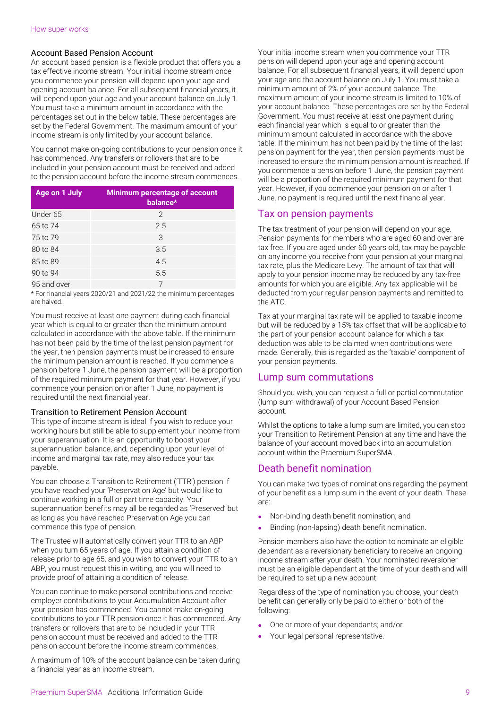## Account Based Pension Account

An account based pension is a flexible product that offers you a tax effective income stream. Your initial income stream once you commence your pension will depend upon your age and opening account balance. For all subsequent financial years, it will depend upon your age and your account balance on July 1. You must take a minimum amount in accordance with the percentages set out in the below table. These percentages are set by the Federal Government. The maximum amount of your income stream is only limited by your account balance.

You cannot make on-going contributions to your pension once it has commenced. Any transfers or rollovers that are to be included in your pension account must be received and added to the pension account before the income stream commences.

| Age on 1 July | <b>Minimum percentage of account</b><br>balance* |
|---------------|--------------------------------------------------|
| Under 65      | 2                                                |
| 65 to 74      | 2.5                                              |
| 75 to 79      | 3                                                |
| 80 to 84      | 3.5                                              |
| 85 to 89      | 4.5                                              |
| 90 to 94      | 5.5                                              |
| 95 and over   |                                                  |

\* For financial years 2020/21 and 2021/22 the minimum percentages are halved.

You must receive at least one payment during each financial year which is equal to or greater than the minimum amount calculated in accordance with the above table. If the minimum has not been paid by the time of the last pension payment for the year, then pension payments must be increased to ensure the minimum pension amount is reached. If you commence a pension before 1 June, the pension payment will be a proportion of the required minimum payment for that year. However, if you commence your pension on or after 1 June, no payment is required until the next financial year.

## Transition to Retirement Pension Account

This type of income stream is ideal if you wish to reduce your working hours but still be able to supplement your income from your superannuation. It is an opportunity to boost your superannuation balance, and, depending upon your level of income and marginal tax rate, may also reduce your tax payable.

You can choose a Transition to Retirement ('TTR') pension if you have reached your 'Preservation Age' but would like to continue working in a full or part time capacity. Your superannuation benefits may all be regarded as 'Preserved' but as long as you have reached Preservation Age you can commence this type of pension.

The Trustee will automatically convert your TTR to an ABP when you turn 65 years of age. If you attain a condition of release prior to age 65, and you wish to convert your TTR to an ABP, you must request this in writing, and you will need to provide proof of attaining a condition of release.

You can continue to make personal contributions and receive employer contributions to your Accumulation Account after your pension has commenced. You cannot make on-going contributions to your TTR pension once it has commenced. Any transfers or rollovers that are to be included in your TTR pension account must be received and added to the TTR pension account before the income stream commences.

A maximum of 10% of the account balance can be taken during a financial year as an income stream.

Your initial income stream when you commence your TTR pension will depend upon your age and opening account balance. For all subsequent financial years, it will depend upon your age and the account balance on July 1. You must take a minimum amount of 2% of your account balance. The maximum amount of your income stream is limited to 10% of your account balance. These percentages are set by the Federal Government. You must receive at least one payment during each financial year which is equal to or greater than the minimum amount calculated in accordance with the above table. If the minimum has not been paid by the time of the last pension payment for the year, then pension payments must be increased to ensure the minimum pension amount is reached. If you commence a pension before 1 June, the pension payment will be a proportion of the required minimum payment for that year. However, if you commence your pension on or after 1 June, no payment is required until the next financial year.

## Tax on pension payments

The tax treatment of your pension will depend on your age. Pension payments for members who are aged 60 and over are tax free. If you are aged under 60 years old, tax may be payable on any income you receive from your pension at your marginal tax rate, plus the Medicare Levy. The amount of tax that will apply to your pension income may be reduced by any tax-free amounts for which you are eligible. Any tax applicable will be deducted from your regular pension payments and remitted to the ATO.

Tax at your marginal tax rate will be applied to taxable income but will be reduced by a 15% tax offset that will be applicable to the part of your pension account balance for which a tax deduction was able to be claimed when contributions were made. Generally, this is regarded as the 'taxable' component of your pension payments.

## Lump sum commutations

Should you wish, you can request a full or partial commutation (lump sum withdrawal) of your Account Based Pension account.

Whilst the options to take a lump sum are limited, you can stop your Transition to Retirement Pension at any time and have the balance of your account moved back into an accumulation account within the Praemium SuperSMA.

# Death benefit nomination

You can make two types of nominations regarding the payment of your benefit as a lump sum in the event of your death. These are:

- Non-binding death benefit nomination; and
- Binding (non-lapsing) death benefit nomination.

Pension members also have the option to nominate an eligible dependant as a reversionary beneficiary to receive an ongoing income stream after your death. Your nominated reversioner must be an eligible dependant at the time of your death and will be required to set up a new account.

Regardless of the type of nomination you choose, your death benefit can generally only be paid to either or both of the following:

- One or more of your dependants; and/or
- Your legal personal representative.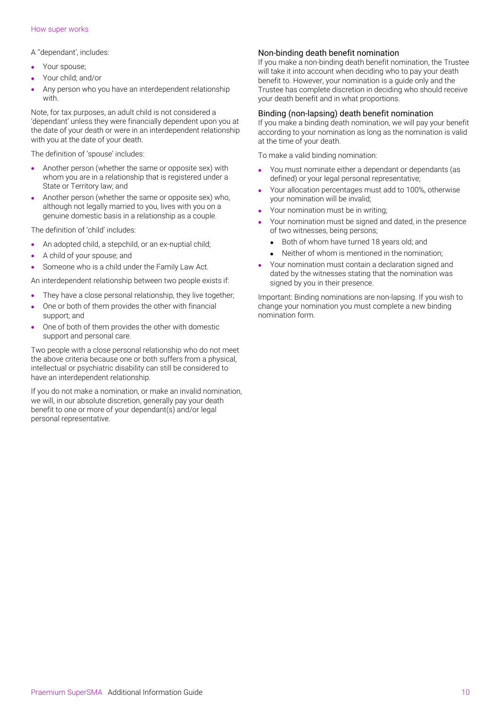### How super works

A ''dependant', includes:

- Your spouse;
- Your child; and/or
- Any person who you have an interdependent relationship with.

Note, for tax purposes, an adult child is not considered a 'dependant' unless they were financially dependent upon you at the date of your death or were in an interdependent relationship with you at the date of your death.

The definition of 'spouse' includes:

- Another person (whether the same or opposite sex) with whom you are in a relationship that is registered under a State or Territory law; and
- Another person (whether the same or opposite sex) who, although not legally married to you, lives with you on a genuine domestic basis in a relationship as a couple.

The definition of 'child' includes:

- An adopted child, a stepchild, or an ex-nuptial child;
- A child of your spouse; and
- Someone who is a child under the Family Law Act.

An interdependent relationship between two people exists if:

- They have a close personal relationship, they live together;
- One or both of them provides the other with financial support; and
- One of both of them provides the other with domestic support and personal care.

Two people with a close personal relationship who do not meet the above criteria because one or both suffers from a physical, intellectual or psychiatric disability can still be considered to have an interdependent relationship.

If you do not make a nomination, or make an invalid nomination, we will, in our absolute discretion, generally pay your death benefit to one or more of your dependant(s) and/or legal personal representative.

## Non-binding death benefit nomination

If you make a non-binding death benefit nomination, the Trustee will take it into account when deciding who to pay your death benefit to. However, your nomination is a guide only and the Trustee has complete discretion in deciding who should receive your death benefit and in what proportions.

## Binding (non-lapsing) death benefit nomination

If you make a binding death nomination, we will pay your benefit according to your nomination as long as the nomination is valid at the time of your death.

To make a valid binding nomination:

- You must nominate either a dependant or dependants (as defined) or your legal personal representative;
- Your allocation percentages must add to 100%, otherwise your nomination will be invalid;
- Your nomination must be in writing:
- Your nomination must be signed and dated, in the presence of two witnesses, being persons;
	- Both of whom have turned 18 years old; and
	- Neither of whom is mentioned in the nomination;
- Your nomination must contain a declaration signed and dated by the witnesses stating that the nomination was signed by you in their presence.

Important: Binding nominations are non-lapsing. If you wish to change your nomination you must complete a new binding nomination form.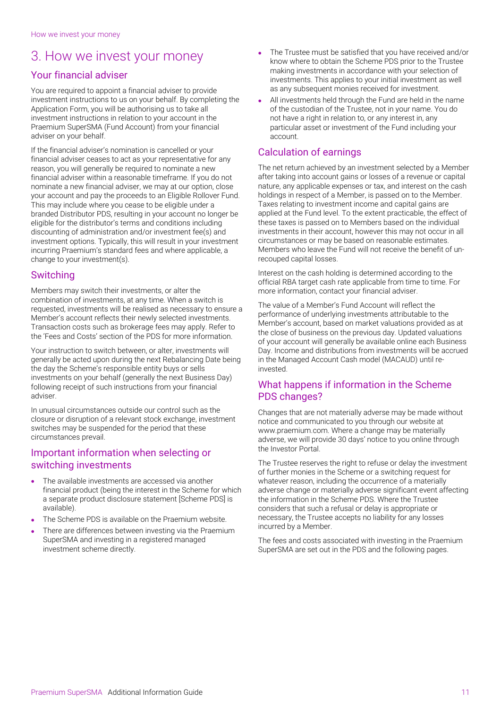# <span id="page-10-0"></span>3. How we invest your money

# Your financial adviser

You are required to appoint a financial adviser to provide investment instructions to us on your behalf. By completing the Application Form, you will be authorising us to take all investment instructions in relation to your account in the Praemium SuperSMA (Fund Account) from your financial adviser on your behalf.

If the financial adviser's nomination is cancelled or your financial adviser ceases to act as your representative for any reason, you will generally be required to nominate a new financial adviser within a reasonable timeframe. If you do not nominate a new financial adviser, we may at our option, close your account and pay the proceeds to an Eligible Rollover Fund. This may include where you cease to be eligible under a branded Distributor PDS, resulting in your account no longer be eligible for the distributor's terms and conditions including discounting of administration and/or investment fee(s) and investment options. Typically, this will result in your investment incurring Praemium's standard fees and where applicable, a change to your investment(s).

## Switching

Members may switch their investments, or alter the combination of investments, at any time. When a switch is requested, investments will be realised as necessary to ensure a Member's account reflects their newly selected investments. Transaction costs such as brokerage fees may apply. Refer to the 'Fees and Costs' section of the PDS for more information.

Your instruction to switch between, or alter, investments will generally be acted upon during the next Rebalancing Date being the day the Scheme's responsible entity buys or sells investments on your behalf (generally the next Business Day) following receipt of such instructions from your financial adviser.

In unusual circumstances outside our control such as the closure or disruption of a relevant stock exchange, investment switches may be suspended for the period that these circumstances prevail.

## Important information when selecting or switching investments

- The available investments are accessed via another financial product (being the interest in the Scheme for which a separate product disclosure statement [Scheme PDS] is available).
- The Scheme PDS is available on the Praemium website.
- There are differences between investing via the Praemium SuperSMA and investing in a registered managed investment scheme directly.
- The Trustee must be satisfied that you have received and/or know where to obtain the Scheme PDS prior to the Trustee making investments in accordance with your selection of investments. This applies to your initial investment as well as any subsequent monies received for investment.
- All investments held through the Fund are held in the name of the custodian of the Trustee, not in your name. You do not have a right in relation to, or any interest in, any particular asset or investment of the Fund including your account.

# Calculation of earnings

The net return achieved by an investment selected by a Member after taking into account gains or losses of a revenue or capital nature, any applicable expenses or tax, and interest on the cash holdings in respect of a Member, is passed on to the Member. Taxes relating to investment income and capital gains are applied at the Fund level. To the extent practicable, the effect of these taxes is passed on to Members based on the individual investments in their account, however this may not occur in all circumstances or may be based on reasonable estimates. Members who leave the Fund will not receive the benefit of unrecouped capital losses.

Interest on the cash holding is determined according to the official RBA target cash rate applicable from time to time. For more information, contact your financial adviser.

The value of a Member's Fund Account will reflect the performance of underlying investments attributable to the Member's account, based on market valuations provided as at the close of business on the previous day. Updated valuations of your account will generally be available online each Business Day. Income and distributions from investments will be accrued in the Managed Account Cash model (MACAUD) until reinvested.

## What happens if information in the Scheme PDS changes?

Changes that are not materially adverse may be made without notice and communicated to you through our website at www.praemium.com. Where a change may be materially adverse, we will provide 30 days' notice to you online through the Investor Portal.

The Trustee reserves the right to refuse or delay the investment of further monies in the Scheme or a switching request for whatever reason, including the occurrence of a materially adverse change or materially adverse significant event affecting the information in the Scheme PDS. Where the Trustee considers that such a refusal or delay is appropriate or necessary, the Trustee accepts no liability for any losses incurred by a Member.

The fees and costs associated with investing in the Praemium SuperSMA are set out in the PDS and the following pages.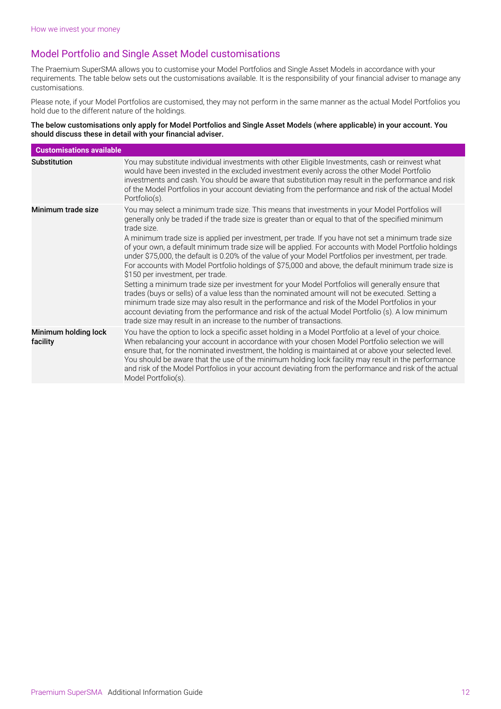# Model Portfolio and Single Asset Model customisations

The Praemium SuperSMA allows you to customise your Model Portfolios and Single Asset Models in accordance with your requirements. The table below sets out the customisations available. It is the responsibility of your financial adviser to manage any customisations.

Please note, if your Model Portfolios are customised, they may not perform in the same manner as the actual Model Portfolios you hold due to the different nature of the holdings.

The below customisations only apply for Model Portfolios and Single Asset Models (where applicable) in your account. You should discuss these in detail with your financial adviser.

| <b>Customisations available</b>  |                                                                                                                                                                                                                                                                                                                                                                                                                                                                                                                                                                                                                                                                                                                                                                                                                                                                                                                                                                                                                                                                                                                                                                                |
|----------------------------------|--------------------------------------------------------------------------------------------------------------------------------------------------------------------------------------------------------------------------------------------------------------------------------------------------------------------------------------------------------------------------------------------------------------------------------------------------------------------------------------------------------------------------------------------------------------------------------------------------------------------------------------------------------------------------------------------------------------------------------------------------------------------------------------------------------------------------------------------------------------------------------------------------------------------------------------------------------------------------------------------------------------------------------------------------------------------------------------------------------------------------------------------------------------------------------|
| <b>Substitution</b>              | You may substitute individual investments with other Eligible Investments, cash or reinvest what<br>would have been invested in the excluded investment evenly across the other Model Portfolio<br>investments and cash. You should be aware that substitution may result in the performance and risk<br>of the Model Portfolios in your account deviating from the performance and risk of the actual Model<br>Portfolio(s).                                                                                                                                                                                                                                                                                                                                                                                                                                                                                                                                                                                                                                                                                                                                                  |
| Minimum trade size               | You may select a minimum trade size. This means that investments in your Model Portfolios will<br>generally only be traded if the trade size is greater than or equal to that of the specified minimum<br>trade size.<br>A minimum trade size is applied per investment, per trade. If you have not set a minimum trade size<br>of your own, a default minimum trade size will be applied. For accounts with Model Portfolio holdings<br>under \$75,000, the default is 0.20% of the value of your Model Portfolios per investment, per trade.<br>For accounts with Model Portfolio holdings of \$75,000 and above, the default minimum trade size is<br>\$150 per investment, per trade.<br>Setting a minimum trade size per investment for your Model Portfolios will generally ensure that<br>trades (buys or sells) of a value less than the nominated amount will not be executed. Setting a<br>minimum trade size may also result in the performance and risk of the Model Portfolios in your<br>account deviating from the performance and risk of the actual Model Portfolio (s). A low minimum<br>trade size may result in an increase to the number of transactions. |
| Minimum holding lock<br>facility | You have the option to lock a specific asset holding in a Model Portfolio at a level of your choice.<br>When rebalancing your account in accordance with your chosen Model Portfolio selection we will<br>ensure that, for the nominated investment, the holding is maintained at or above your selected level.<br>You should be aware that the use of the minimum holding lock facility may result in the performance<br>and risk of the Model Portfolios in your account deviating from the performance and risk of the actual<br>Model Portfolio(s).                                                                                                                                                                                                                                                                                                                                                                                                                                                                                                                                                                                                                        |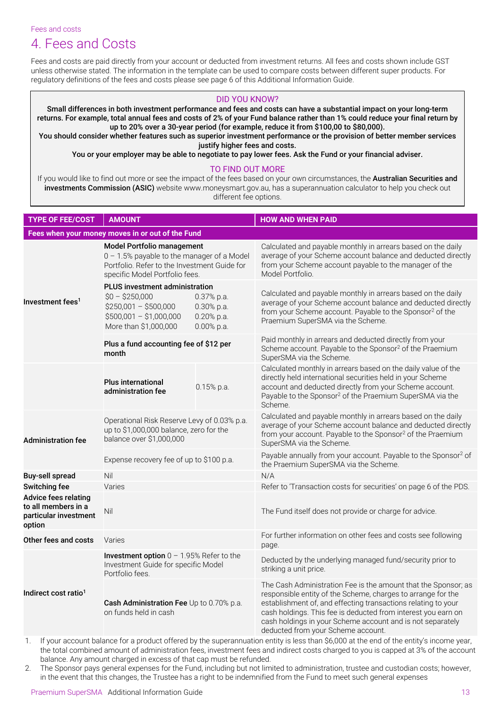Fees and costs

# <span id="page-12-0"></span>4. Fees and Costs

Fees and costs are paid directly from your account or deducted from investment returns. All fees and costs shown include GST unless otherwise stated. The information in the template can be used to compare costs between different super products. For regulatory definitions of the fees and costs please see page 6 of this Additional Information Guide.

## DID YOU KNOW?

Small differences in both investment performance and fees and costs can have a substantial impact on your long-term returns. For example, total annual fees and costs of 2% of your Fund balance rather than 1% could reduce your final return by up to 20% over a 30-year period (for example, reduce it from \$100,00 to \$80,000).

You should consider whether features such as superior investment performance or the provision of better member services justify higher fees and costs.

You or your employer may be able to negotiate to pay lower fees. Ask the Fund or your financial adviser.

## TO FIND OUT MORE

If you would like to find out more or see the impact of the fees based on your own circumstances, the Australian Securities and investments Commission (ASIC) website www.moneysmart.gov.au, has a superannuation calculator to help you check out different fee options.

| <b>TYPE OF FEE/COST</b>                                                               | <b>AMOUNT</b>                                                                                                                                                     |                                                            | <b>HOW AND WHEN PAID</b>                                                                                                                                                                                                                                                                                                                                             |  |
|---------------------------------------------------------------------------------------|-------------------------------------------------------------------------------------------------------------------------------------------------------------------|------------------------------------------------------------|----------------------------------------------------------------------------------------------------------------------------------------------------------------------------------------------------------------------------------------------------------------------------------------------------------------------------------------------------------------------|--|
| Fees when your money moves in or out of the Fund                                      |                                                                                                                                                                   |                                                            |                                                                                                                                                                                                                                                                                                                                                                      |  |
| Investment fees <sup>1</sup>                                                          | <b>Model Portfolio management</b><br>0 - 1.5% payable to the manager of a Model<br>Portfolio. Refer to the Investment Guide for<br>specific Model Portfolio fees. |                                                            | Calculated and payable monthly in arrears based on the daily<br>average of your Scheme account balance and deducted directly<br>from your Scheme account payable to the manager of the<br>Model Portfolio.                                                                                                                                                           |  |
|                                                                                       | <b>PLUS investment administration</b><br>$$0 - $250,000$<br>$$250,001 - $500,000$<br>$$500,001 - $1,000,000$<br>More than \$1,000,000                             | 0.37% p.a.<br>0.30% p.a.<br>$0.20\%$ p.a.<br>$0.00\%$ p.a. | Calculated and payable monthly in arrears based on the daily<br>average of your Scheme account balance and deducted directly<br>from your Scheme account. Payable to the Sponsor <sup>2</sup> of the<br>Praemium SuperSMA via the Scheme.                                                                                                                            |  |
|                                                                                       | Plus a fund accounting fee of \$12 per<br>month                                                                                                                   |                                                            | Paid monthly in arrears and deducted directly from your<br>Scheme account. Payable to the Sponsor <sup>2</sup> of the Praemium<br>SuperSMA via the Scheme.                                                                                                                                                                                                           |  |
|                                                                                       | <b>Plus international</b><br>administration fee                                                                                                                   | $0.15%$ p.a.                                               | Calculated monthly in arrears based on the daily value of the<br>directly held international securities held in your Scheme<br>account and deducted directly from your Scheme account.<br>Payable to the Sponsor <sup>2</sup> of the Praemium SuperSMA via the<br>Scheme.                                                                                            |  |
| <b>Administration fee</b>                                                             | Operational Risk Reserve Levy of 0.03% p.a.<br>up to \$1,000,000 balance, zero for the<br>balance over \$1,000,000                                                |                                                            | Calculated and payable monthly in arrears based on the daily<br>average of your Scheme account balance and deducted directly<br>from your account. Payable to the Sponsor <sup>2</sup> of the Praemium<br>SuperSMA via the Scheme.                                                                                                                                   |  |
|                                                                                       | Expense recovery fee of up to \$100 p.a.                                                                                                                          |                                                            | Payable annually from your account. Payable to the Sponsor <sup>2</sup> of<br>the Praemium SuperSMA via the Scheme.                                                                                                                                                                                                                                                  |  |
| <b>Buy-sell spread</b>                                                                | Nil                                                                                                                                                               |                                                            | N/A                                                                                                                                                                                                                                                                                                                                                                  |  |
| <b>Switching fee</b>                                                                  | Varies                                                                                                                                                            |                                                            | Refer to 'Transaction costs for securities' on page 6 of the PDS.                                                                                                                                                                                                                                                                                                    |  |
| <b>Advice fees relating</b><br>to all members in a<br>particular investment<br>option | Nil                                                                                                                                                               |                                                            | The Fund itself does not provide or charge for advice.                                                                                                                                                                                                                                                                                                               |  |
| Other fees and costs                                                                  | Varies                                                                                                                                                            |                                                            | For further information on other fees and costs see following<br>page.                                                                                                                                                                                                                                                                                               |  |
| Indirect cost ratio <sup>1</sup>                                                      | Investment option $0 - 1.95%$ Refer to the<br>Investment Guide for specific Model<br>Portfolio fees.                                                              |                                                            | Deducted by the underlying managed fund/security prior to<br>striking a unit price.                                                                                                                                                                                                                                                                                  |  |
|                                                                                       | Cash Administration Fee Up to 0.70% p.a.<br>on funds held in cash                                                                                                 |                                                            | The Cash Administration Fee is the amount that the Sponsor; as<br>responsible entity of the Scheme, charges to arrange for the<br>establishment of, and effecting transactions relating to your<br>cash holdings. This fee is deducted from interest you earn on<br>cash holdings in your Scheme account and is not separately<br>deducted from your Scheme account. |  |
|                                                                                       |                                                                                                                                                                   |                                                            |                                                                                                                                                                                                                                                                                                                                                                      |  |

1. If your account balance for a product offered by the superannuation entity is less than \$6,000 at the end of the entity's income year, the total combined amount of administration fees, investment fees and indirect costs charged to you is capped at 3% of the account balance. Any amount charged in excess of that cap must be refunded.

2. The Sponsor pays general expenses for the Fund, including but not limited to administration, trustee and custodian costs; however, in the event that this changes, the Trustee has a right to be indemnified from the Fund to meet such general expenses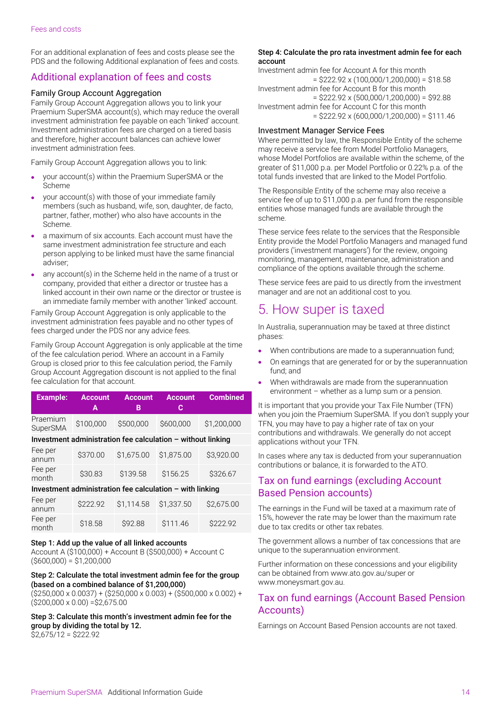For an additional explanation of fees and costs please see the PDS and the following Additional explanation of fees and costs.

# Additional explanation of fees and costs

## Family Group Account Aggregation

Family Group Account Aggregation allows you to link your Praemium SuperSMA account(s), which may reduce the overall investment administration fee payable on each 'linked' account. Investment administration fees are charged on a tiered basis and therefore, higher account balances can achieve lower investment administration fees.

Family Group Account Aggregation allows you to link:

- your account(s) within the Praemium SuperSMA or the Scheme
- your account(s) with those of your immediate family members (such as husband, wife, son, daughter, de facto, partner, father, mother) who also have accounts in the Scheme.
- a maximum of six accounts. Each account must have the same investment administration fee structure and each person applying to be linked must have the same financial adviser;
- any account(s) in the Scheme held in the name of a trust or company, provided that either a director or trustee has a linked account in their own name or the director or trustee is an immediate family member with another 'linked' account.

Family Group Account Aggregation is only applicable to the investment administration fees payable and no other types of fees charged under the PDS nor any advice fees.

Family Group Account Aggregation is only applicable at the time of the fee calculation period. Where an account in a Family Group is closed prior to this fee calculation period, the Family Group Account Aggregation discount is not applied to the final fee calculation for that account.

| <b>Example:</b>                                               | <b>Account</b><br>A | <b>Account</b><br>в | <b>Account</b><br>C | <b>Combined</b> |
|---------------------------------------------------------------|---------------------|---------------------|---------------------|-----------------|
| Praemium<br><b>SuperSMA</b>                                   | \$100,000           | \$500,000           | \$600,000           | \$1,200,000     |
| Investment administration fee calculation $-$ without linking |                     |                     |                     |                 |
| Fee per<br>annum                                              | \$370.00            | \$1,675.00          | \$1,875.00          | \$3,920.00      |
| Fee per<br>month                                              | \$30.83             | \$139.58            | \$156.25            | \$326.67        |
| Investment administration fee calculation - with linking      |                     |                     |                     |                 |
| Fee per<br>annum                                              | \$222.92            | \$1.114.58          | \$1,337.50          | \$2,675.00      |

## Step 1: Add up the value of all linked accounts

Fee per

Account A (\$100,000) + Account B (\$500,000) + Account C  $($ \$600,000) = \$1,200,000

month \$18.58 \$92.88 \$111.46 \$222.92

## Step 2: Calculate the total investment admin fee for the group (based on a combined balance of \$1,200,000)

 $($ \$250,000 x 0.0037) + (\$250,000 x 0.003) + (\$500,000 x 0.002) +  $($200,000 \times 0.00) = $2,675.00$ 

Step 3: Calculate this month's investment admin fee for the group by dividing the total by 12.  $$2,675/12 = $222.92$ 

#### Step 4: Calculate the pro rata investment admin fee for each account

Investment admin fee for Account A for this month  $=$  \$222.92 x (100,000/1,200,000) = \$18.58 Investment admin fee for Account B for this month  $=$  \$222.92 x (500,000/1,200,000) = \$92.88 Investment admin fee for Account C for this month  $=$  \$222.92 x (600,000/1,200,000) = \$111.46

### Investment Manager Service Fees

Where permitted by law, the Responsible Entity of the scheme may receive a service fee from Model Portfolio Managers, whose Model Portfolios are available within the scheme, of the greater of \$11,000 p.a. per Model Portfolio or 0.22% p.a. of the total funds invested that are linked to the Model Portfolio.

The Responsible Entity of the scheme may also receive a service fee of up to \$11,000 p.a. per fund from the responsible entities whose managed funds are available through the scheme.

These service fees relate to the services that the Responsible Entity provide the Model Portfolio Managers and managed fund providers ('investment managers') for the review, ongoing monitoring, management, maintenance, administration and compliance of the options available through the scheme.

These service fees are paid to us directly from the investment manager and are not an additional cost to you.

# <span id="page-13-0"></span>5. How super is taxed

In Australia, superannuation may be taxed at three distinct phases:

- When contributions are made to a superannuation fund:
- On earnings that are generated for or by the superannuation fund; and
- When withdrawals are made from the superannuation environment – whether as a lump sum or a pension.

It is important that you provide your Tax File Number (TFN) when you join the Praemium SuperSMA. If you don't supply your TFN, you may have to pay a higher rate of tax on your contributions and withdrawals. We generally do not accept applications without your TFN.

In cases where any tax is deducted from your superannuation contributions or balance, it is forwarded to the ATO.

# Tax on fund earnings (excluding Account Based Pension accounts)

The earnings in the Fund will be taxed at a maximum rate of 15%, however the rate may be lower than the maximum rate due to tax credits or other tax rebates.

The government allows a number of tax concessions that are unique to the superannuation environment.

Further information on these concessions and your eligibility can be obtained from [www.ato.gov.au/super o](http://www.ato.gov.au/super)r [www.moneysmart.gov.au.](http://www.moneysmart.gov.au/)

# Tax on fund earnings (Account Based Pension Accounts)

Earnings on Account Based Pension accounts are not taxed.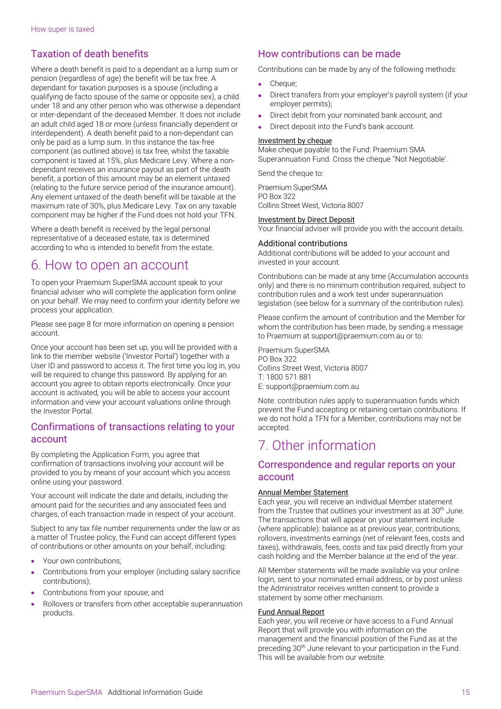# Taxation of death benefits

Where a death benefit is paid to a dependant as a lump sum or pension (regardless of age) the benefit will be tax free. A dependant for taxation purposes is a spouse (including a qualifying de facto spouse of the same or opposite sex), a child under 18 and any other person who was otherwise a dependant or inter-dependant of the deceased Member. It does not include an adult child aged 18 or more (unless financially dependent or interdependent). A death benefit paid to a non-dependant can only be paid as a lump sum. In this instance the tax-free component (as outlined above) is tax free, whilst the taxable component is taxed at 15%, plus Medicare Levy. Where a nondependant receives an insurance payout as part of the death benefit, a portion of this amount may be an element untaxed (relating to the future service period of the insurance amount). Any element untaxed of the death benefit will be taxable at the maximum rate of 30%, plus Medicare Levy. Tax on any taxable component may be higher if the Fund does not hold your TFN.

Where a death benefit is received by the legal personal representative of a deceased estate, tax is determined according to who is intended to benefit from the estate.

# <span id="page-14-0"></span>6. How to open an account

To open your Praemium SuperSMA account speak to your financial adviser who will complete the application form online on your behalf. We may need to confirm your identity before we process your application.

Please see page 8 for more information on opening a pension account.

Once your account has been set up, you will be provided with a link to the member website ('Investor Portal') together with a User ID and password to access it. The first time you log in, you will be required to change this password. By applying for an account you agree to obtain reports electronically. Once your account is activated, you will be able to access your account information and view your account valuations online through the Investor Portal.

## Confirmations of transactions relating to your account

By completing the Application Form, you agree that confirmation of transactions involving your account will be provided to you by means of your account which you access online using your password.

Your account will indicate the date and details, including the amount paid for the securities and any associated fees and charges, of each transaction made in respect of your account.

Subject to any tax file number requirements under the law or as a matter of Trustee policy, the Fund can accept different types of contributions or other amounts on your behalf, including:

- Your own contributions:
- Contributions from your employer (including salary sacrifice contributions);
- Contributions from your spouse; and
- Rollovers or transfers from other acceptable superannuation products.

# How contributions can be made

Contributions can be made by any of the following methods:

- Cheque:
- Direct transfers from your employer's payroll system (if your employer permits);
- Direct debit from your nominated bank account; and
- Direct deposit into the Fund's bank account.

### Investment by cheque

Make cheque payable to the Fund: Praemium SMA Superannuation Fund. Cross the cheque ''Not Negotiable'.

Send the cheque to:

Praemium SuperSMA PO Box 322 Collins Street West, Victoria 8007

### Investment by Direct Deposit

Your financial adviser will provide you with the account details.

## Additional contributions

Additional contributions will be added to your account and invested in your account.

Contributions can be made at any time (Accumulation accounts only) and there is no minimum contribution required, subject to contribution rules and a work test under superannuation legislation (see below for a summary of the contribution rules).

Please confirm the amount of contribution and the Member for whom the contribution has been made, by sending a message to Praemium at support@praemium.com.au or to:

Praemium SuperSMA PO Box 322 Collins Street West, Victoria 8007 T: 1800 571 881 E: support@praemium.com.au

Note: contribution rules apply to superannuation funds which prevent the Fund accepting or retaining certain contributions. If we do not hold a TFN for a Member, contributions may not be accepted.

# <span id="page-14-1"></span>7. Other information

## Correspondence and regular reports on your account

## Annual Member Statement

Each year, you will receive an individual Member statement from the Trustee that outlines your investment as at 30<sup>th</sup> June. The transactions that will appear on your statement include (where applicable): balance as at previous year, contributions, rollovers, investments earnings (net of relevant fees, costs and taxes), withdrawals, fees, costs and tax paid directly from your cash holding and the Member balance at the end of the year.

All Member statements will be made available via your online login, sent to your nominated email address, or by post unless the Administrator receives written consent to provide a statement by some other mechanism.

#### Fund Annual Report

Each year, you will receive or have access to a Fund Annual Report that will provide you with information on the management and the financial position of the Fund as at the preceding 30<sup>th</sup> June relevant to your participation in the Fund. This will be available from our website.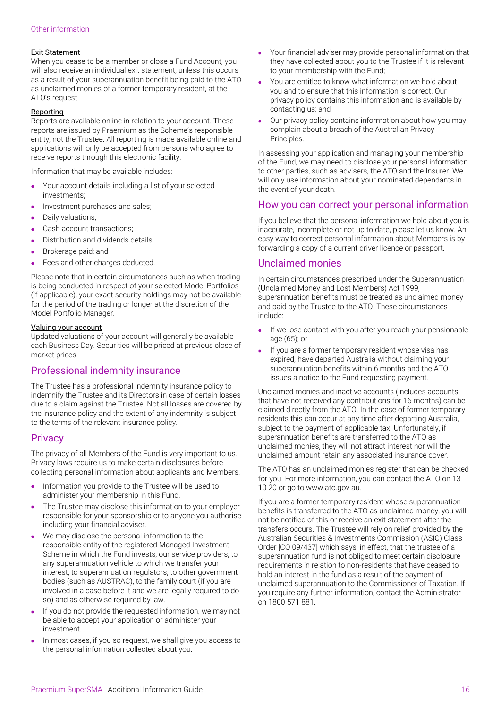## Exit Statement

When you cease to be a member or close a Fund Account, you will also receive an individual exit statement, unless this occurs as a result of your superannuation benefit being paid to the ATO as unclaimed monies of a former temporary resident, at the ATO's request.

## **Reporting**

Reports are available online in relation to your account. These reports are issued by Praemium as the Scheme's responsible entity, not the Trustee. All reporting is made available online and applications will only be accepted from persons who agree to receive reports through this electronic facility.

Information that may be available includes:

- Your account details including a list of your selected investments;
- Investment purchases and sales;
- Daily valuations;
- Cash account transactions;
- Distribution and dividends details;
- Brokerage paid; and
- Fees and other charges deducted.

Please note that in certain circumstances such as when trading is being conducted in respect of your selected Model Portfolios (if applicable), your exact security holdings may not be available for the period of the trading or longer at the discretion of the Model Portfolio Manager.

## Valuing your account

Updated valuations of your account will generally be available each Business Day. Securities will be priced at previous close of market prices.

## Professional indemnity insurance

The Trustee has a professional indemnity insurance policy to indemnify the Trustee and its Directors in case of certain losses due to a claim against the Trustee. Not all losses are covered by the insurance policy and the extent of any indemnity is subject to the terms of the relevant insurance policy.

## **Privacy**

The privacy of all Members of the Fund is very important to us. Privacy laws require us to make certain disclosures before collecting personal information about applicants and Members.

- Information you provide to the Trustee will be used to administer your membership in this Fund.
- The Trustee may disclose this information to your employer responsible for your sponsorship or to anyone you authorise including your financial adviser.
- We may disclose the personal information to the responsible entity of the registered Managed Investment Scheme in which the Fund invests, our service providers, to any superannuation vehicle to which we transfer your interest, to superannuation regulators, to other government bodies (such as AUSTRAC), to the family court (if you are involved in a case before it and we are legally required to do so) and as otherwise required by law.
- If you do not provide the requested information, we may not be able to accept your application or administer your investment.
- In most cases, if you so request, we shall give you access to the personal information collected about you.
- Your financial adviser may provide personal information that they have collected about you to the Trustee if it is relevant to your membership with the Fund;
- You are entitled to know what information we hold about you and to ensure that this information is correct. Our privacy policy contains this information and is available by contacting us; and
- Our privacy policy contains information about how you may complain about a breach of the Australian Privacy Principles.

In assessing your application and managing your membership of the Fund, we may need to disclose your personal information to other parties, such as advisers, the ATO and the Insurer. We will only use information about your nominated dependants in the event of your death.

# How you can correct your personal information

If you believe that the personal information we hold about you is inaccurate, incomplete or not up to date, please let us know. An easy way to correct personal information about Members is by forwarding a copy of a current driver licence or passport.

## Unclaimed monies

In certain circumstances prescribed under the Superannuation (Unclaimed Money and Lost Members) Act 1999, superannuation benefits must be treated as unclaimed money and paid by the Trustee to the ATO. These circumstances include:

- If we lose contact with you after you reach your pensionable age (65); or
- If you are a former temporary resident whose visa has expired, have departed Australia without claiming your superannuation benefits within 6 months and the ATO issues a notice to the Fund requesting payment.

Unclaimed monies and inactive accounts (includes accounts that have not received any contributions for 16 months) can be claimed directly from the ATO. In the case of former temporary residents this can occur at any time after departing Australia, subject to the payment of applicable tax. Unfortunately, if superannuation benefits are transferred to the ATO as unclaimed monies, they will not attract interest nor will the unclaimed amount retain any associated insurance cover.

The ATO has an unclaimed monies register that can be checked for you. For more information, you can contact the ATO on 13 10 20 or go to www.ato.gov.au.

If you are a former temporary resident whose superannuation benefits is transferred to the ATO as unclaimed money, you will not be notified of this or receive an exit statement after the transfers occurs. The Trustee will rely on relief provided by the Australian Securities & Investments Commission (ASIC) Class Order [CO 09/437] which says, in effect, that the trustee of a superannuation fund is not obliged to meet certain disclosure requirements in relation to non-residents that have ceased to hold an interest in the fund as a result of the payment of unclaimed superannuation to the Commissioner of Taxation. If you require any further information, contact the Administrator on 1800 571 881.